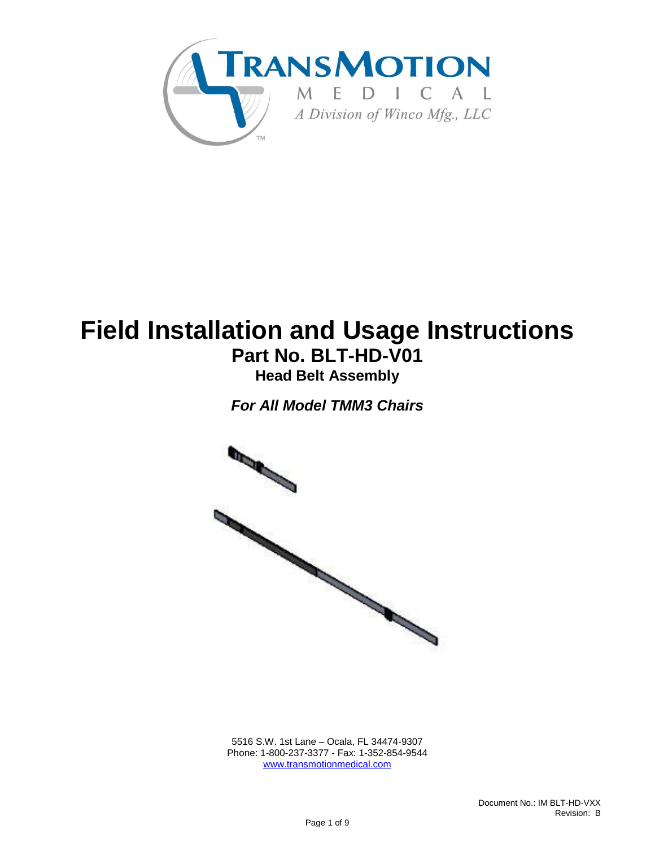

# **Field Installation and Usage Instructions Part No. BLT-HD-V01**

**Head Belt Assembly**

*For All Model TMM3 Chairs*



5516 S.W. 1st Lane – Ocala, FL 34474-9307 Phone: 1-800-237-3377 - Fax: 1-352-854-9544 [www.transmotionmedical.com](http://www.transmotionmedical.com/)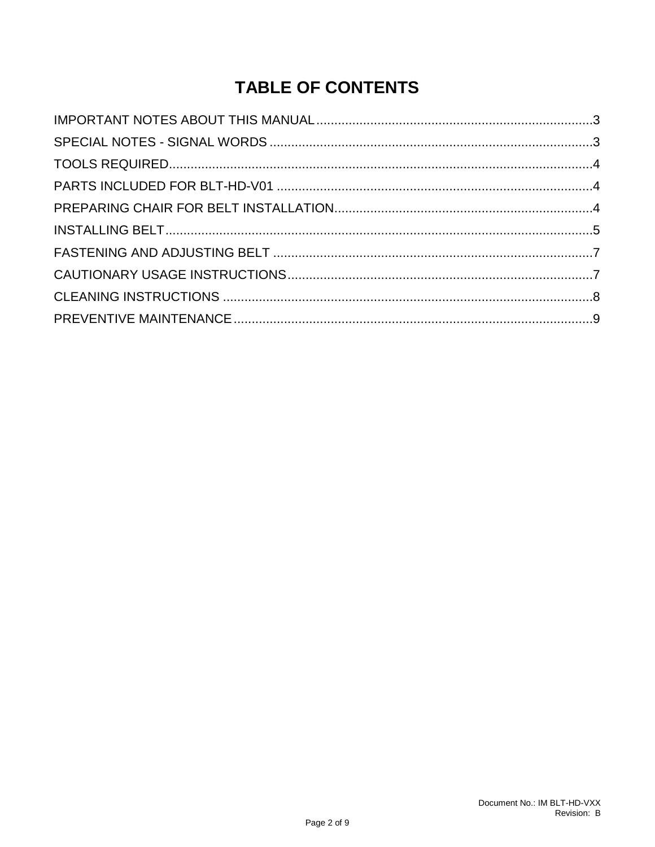## **TABLE OF CONTENTS**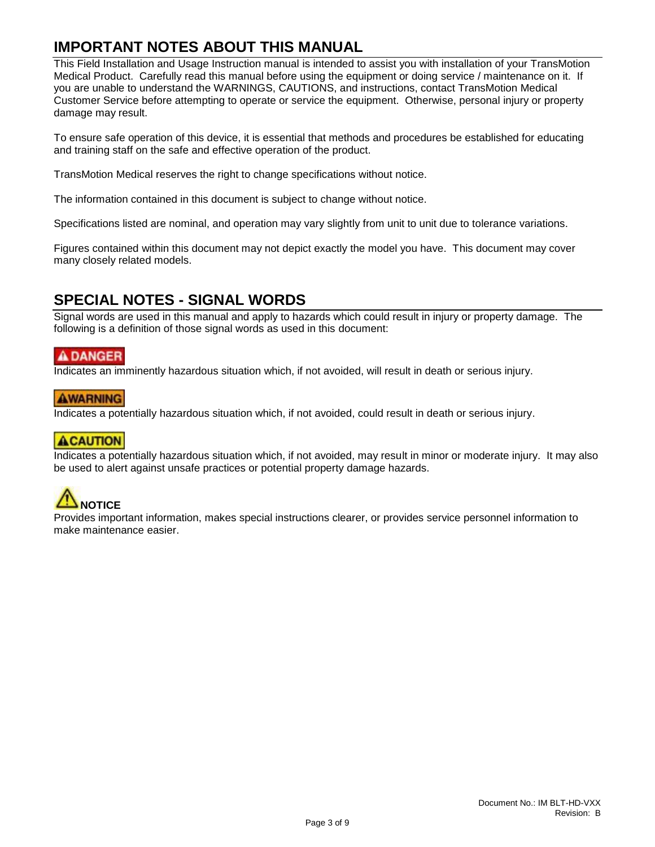#### <span id="page-2-0"></span>**IMPORTANT NOTES ABOUT THIS MANUAL**

This Field Installation and Usage Instruction manual is intended to assist you with installation of your TransMotion Medical Product. Carefully read this manual before using the equipment or doing service / maintenance on it. If you are unable to understand the WARNINGS, CAUTIONS, and instructions, contact TransMotion Medical Customer Service before attempting to operate or service the equipment. Otherwise, personal injury or property damage may result.

To ensure safe operation of this device, it is essential that methods and procedures be established for educating and training staff on the safe and effective operation of the product.

TransMotion Medical reserves the right to change specifications without notice.

The information contained in this document is subject to change without notice.

Specifications listed are nominal, and operation may vary slightly from unit to unit due to tolerance variations.

Figures contained within this document may not depict exactly the model you have. This document may cover many closely related models.

#### <span id="page-2-1"></span>**SPECIAL NOTES - SIGNAL WORDS**

Signal words are used in this manual and apply to hazards which could result in injury or property damage. The following is a definition of those signal words as used in this document:

#### **ADANGER**

Indicates an imminently hazardous situation which, if not avoided, will result in death or serious injury.

#### **AWARNING**

Indicates a potentially hazardous situation which, if not avoided, could result in death or serious injury.

#### **ACAUTION**

Indicates a potentially hazardous situation which, if not avoided, may result in minor or moderate injury. It may also be used to alert against unsafe practices or potential property damage hazards.

## **NOTICE**

Provides important information, makes special instructions clearer, or provides service personnel information to make maintenance easier.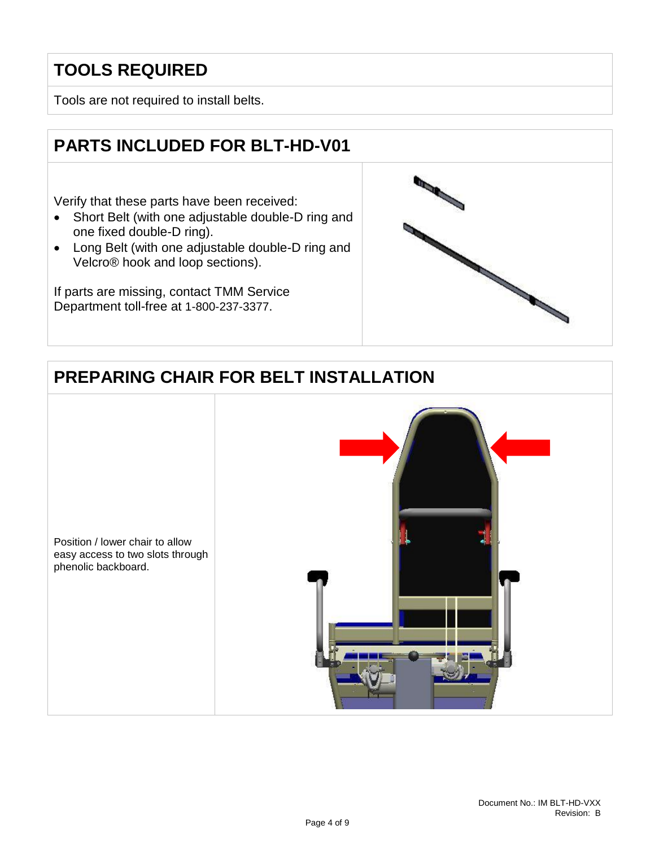## <span id="page-3-0"></span>**TOOLS REQUIRED**

Tools are not required to install belts.

## <span id="page-3-1"></span>**PARTS INCLUDED FOR BLT-HD-V01**

Verify that these parts have been received:

- Short Belt (with one adjustable double-D ring and one fixed double-D ring).
- Long Belt (with one adjustable double-D ring and Velcro® hook and loop sections).

If parts are missing, contact TMM Service Department toll-free at 1-800-237-3377.



## <span id="page-3-2"></span>**PREPARING CHAIR FOR BELT INSTALLATION**

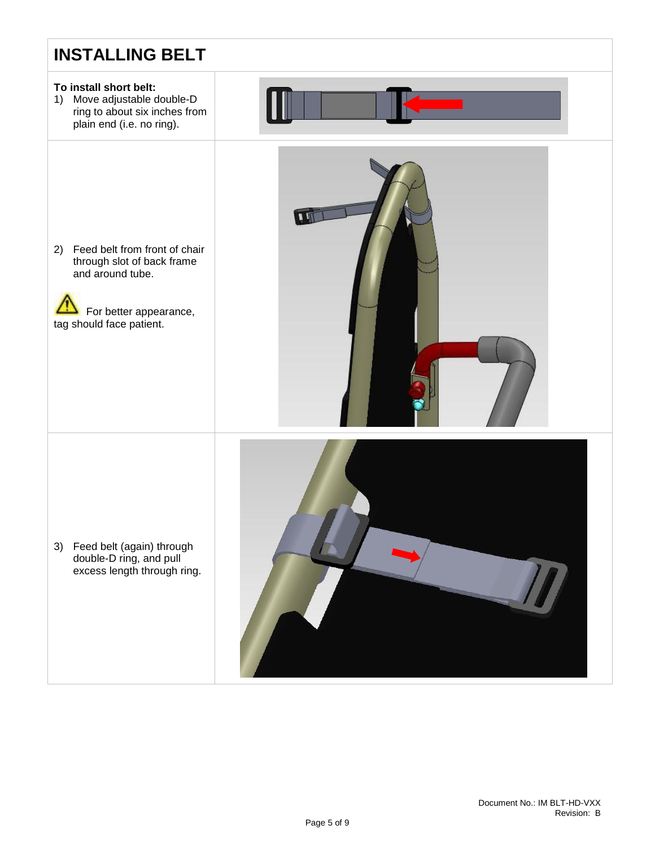<span id="page-4-0"></span>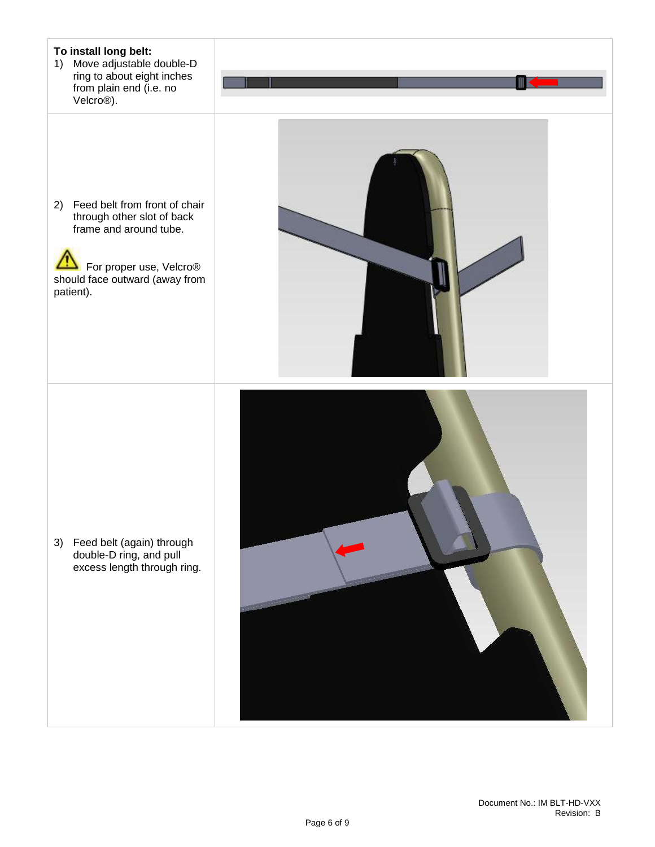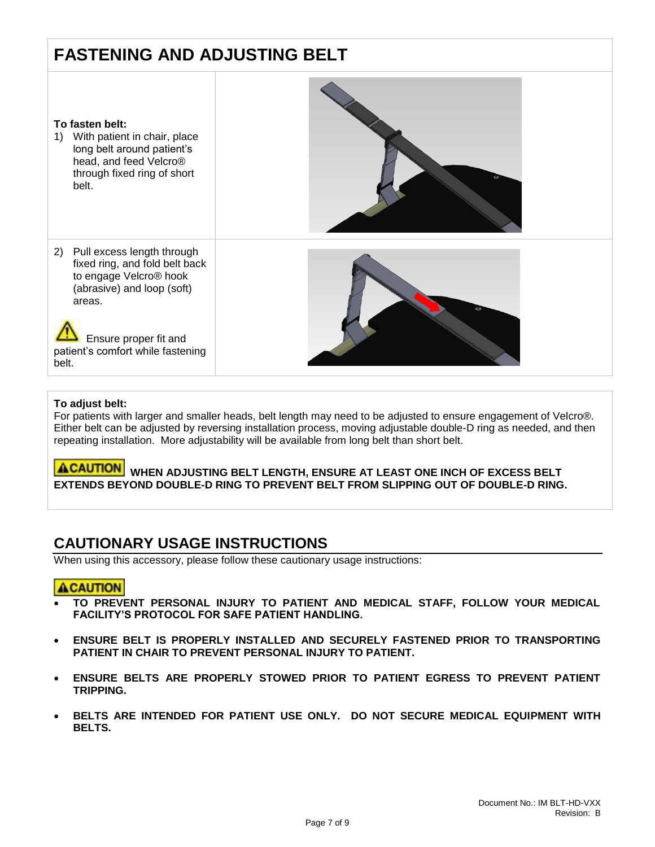## <span id="page-6-0"></span>**FASTENING AND ADJUSTING BELT**



#### **To adjust belt:**

For patients with larger and smaller heads, belt length may need to be adjusted to ensure engagement of Velcro®. Either belt can be adjusted by reversing installation process, moving adjustable double-D ring as needed, and then repeating installation. More adjustability will be available from long belt than short belt.

**ACAUTION** WHEN ADJUSTING BELT LENGTH, ENSURE AT LEAST ONE INCH OF EXCESS BELT **EXTENDS BEYOND DOUBLE-D RING TO PREVENT BELT FROM SLIPPING OUT OF DOUBLE-D RING.**

#### <span id="page-6-1"></span>**CAUTIONARY USAGE INSTRUCTIONS**

When using this accessory, please follow these cautionary usage instructions:

#### **ACAUTION**

- $\parallel$  **TO PREVENT PERSONAL INJURY TO PATIENT AND MEDICAL STAFF, FOLLOW YOUR MEDICAL FACILITY'S PROTOCOL FOR SAFE PATIENT HANDLING.**
- **ENSURE BELT IS PROPERLY INSTALLED AND SECURELY FASTENED PRIOR TO TRANSPORTING PATIENT IN CHAIR TO PREVENT PERSONAL INJURY TO PATIENT.**
- **ENSURE BELTS ARE PROPERLY STOWED PRIOR TO PATIENT EGRESS TO PREVENT PATIENT TRIPPING.**
- **BELTS ARE INTENDED FOR PATIENT USE ONLY. DO NOT SECURE MEDICAL EQUIPMENT WITH BELTS.**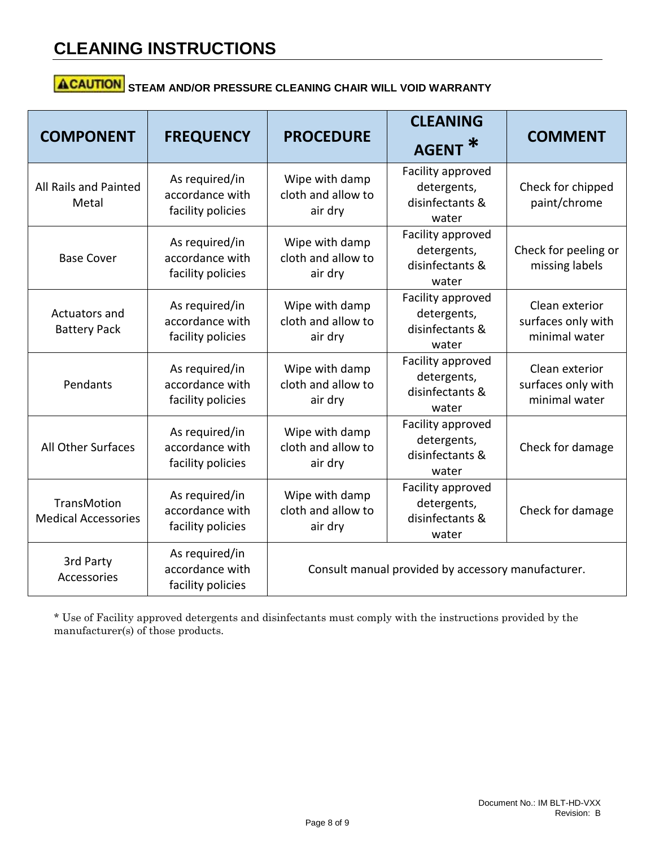## **CLEANING INSTRUCTIONS**

## **ACAUTION** STEAM AND/OR PRESSURE CLEANING CHAIR WILL VOID WARRANTY

| <b>COMPONENT</b>                                 | <b>FREQUENCY</b>                                       | <b>PROCEDURE</b>                                   | <b>CLEANING</b><br><b>AGENT</b>                              | <b>COMMENT</b>                                        |  |
|--------------------------------------------------|--------------------------------------------------------|----------------------------------------------------|--------------------------------------------------------------|-------------------------------------------------------|--|
| All Rails and Painted<br>Metal                   | As required/in<br>accordance with<br>facility policies | Wipe with damp<br>cloth and allow to<br>air dry    | Facility approved<br>detergents,<br>disinfectants &<br>water | Check for chipped<br>paint/chrome                     |  |
| <b>Base Cover</b>                                | As required/in<br>accordance with<br>facility policies | Wipe with damp<br>cloth and allow to<br>air dry    | Facility approved<br>detergents,<br>disinfectants &<br>water | Check for peeling or<br>missing labels                |  |
| Actuators and<br><b>Battery Pack</b>             | As required/in<br>accordance with<br>facility policies | Wipe with damp<br>cloth and allow to<br>air dry    | Facility approved<br>detergents,<br>disinfectants &<br>water | Clean exterior<br>surfaces only with<br>minimal water |  |
| Pendants                                         | As required/in<br>accordance with<br>facility policies | Wipe with damp<br>cloth and allow to<br>air dry    | Facility approved<br>detergents,<br>disinfectants &<br>water | Clean exterior<br>surfaces only with<br>minimal water |  |
| All Other Surfaces                               | As required/in<br>accordance with<br>facility policies | Wipe with damp<br>cloth and allow to<br>air dry    | Facility approved<br>detergents,<br>disinfectants &<br>water | Check for damage                                      |  |
| <b>TransMotion</b><br><b>Medical Accessories</b> | As required/in<br>accordance with<br>facility policies | Wipe with damp<br>cloth and allow to<br>air dry    | Facility approved<br>detergents,<br>disinfectants &<br>water | Check for damage                                      |  |
| 3rd Party<br>Accessories                         | As required/in<br>accordance with<br>facility policies | Consult manual provided by accessory manufacturer. |                                                              |                                                       |  |

\* Use of Facility approved detergents and disinfectants must comply with the instructions provided by the manufacturer(s) of those products.